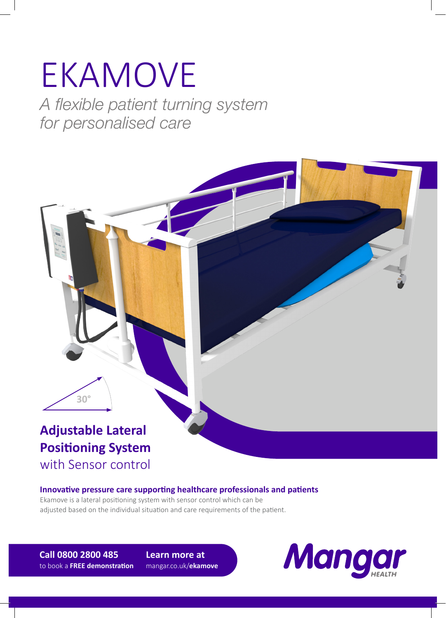# EKAMOVE *A flexible patient turning system*

*for personalised care*

### **Adjustable Lateral Positioning System**  with Sensor control

**30°**

#### **Innovative pressure care supporting healthcare professionals and patients**

Ekamove is a lateral positioning system with sensor control which can be adjusted based on the individual situation and care requirements of the patient.

**Call 0800 2800 485** to book a **FREE demonstration**

**Learn more at**  mangar.co.uk/**ekamove**